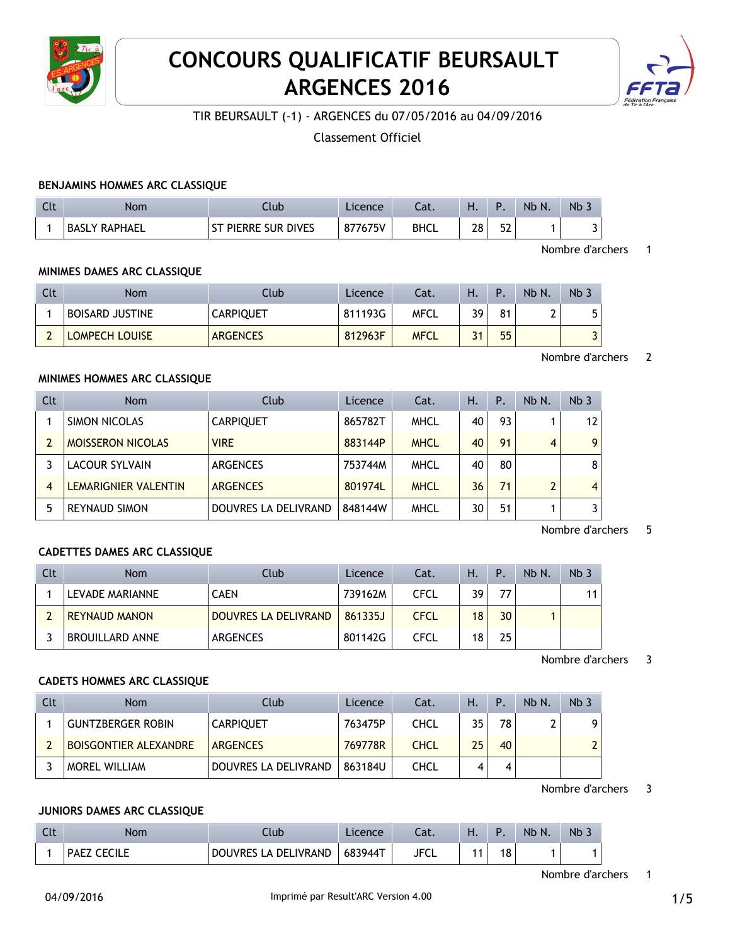

# **CONCOURS QUALIFICATIF BEURSAULT ARGENCES 2016**



TIR BEURSAULT (-1) - ARGENCES du 07/05/2016 au 04/09/2016

Classement Officiel

## **BENJAMINS HOMMES ARC CLASSIQUE**

| Clt | Nom           | Club                | Licence | Cat.        | п. |    | Nb N. | Nb _ |
|-----|---------------|---------------------|---------|-------------|----|----|-------|------|
|     | BASLY RAPHAEL | ST PIERRE SUR DIVES | 877675V | <b>BHCL</b> | 28 | 52 |       |      |

#### Nombre d'archers 1

Nombre d'archers 2

## **MINIMES DAMES ARC CLASSIQUE**

| Clt | Nom                    | Club             | Licence | Cat.        | Η. | D  | Nb N. | Nb. |
|-----|------------------------|------------------|---------|-------------|----|----|-------|-----|
|     | <b>BOISARD JUSTINE</b> | <b>CARPIQUET</b> | 811193G | MFCL        | 39 | 81 |       | 5   |
|     | <b>LOMPECH LOUISE</b>  | <b>ARGENCES</b>  | 812963F | <b>MFCL</b> | 21 | 55 |       |     |

#### **MINIMES HOMMES ARC CLASSIQUE**

| Clt            | <b>Nom</b>               | Club                 | Licence | Cat.        | Η. | Ρ. | Nb N. | Nb <sub>3</sub> |
|----------------|--------------------------|----------------------|---------|-------------|----|----|-------|-----------------|
|                | SIMON NICOLAS            | <b>CARPIQUET</b>     | 865782T | <b>MHCL</b> | 40 | 93 |       | 12              |
|                | <b>MOISSERON NICOLAS</b> | <b>VIRE</b>          | 883144P | <b>MHCL</b> | 40 | 91 | 4     | 9               |
|                | LACOUR SYLVAIN           | <b>ARGENCES</b>      | 753744M | <b>MHCL</b> | 40 | 80 |       | 8               |
| $\overline{4}$ | LEMARIGNIER VALENTIN     | <b>ARGENCES</b>      | 801974L | <b>MHCL</b> | 36 | 71 |       | $\overline{4}$  |
| 5              | <b>REYNAUD SIMON</b>     | DOUVRES LA DELIVRAND | 848144W | <b>MHCL</b> | 30 | 51 |       | 3               |

#### Nombre d'archers 5

## **CADETTES DAMES ARC CLASSIQUE**

| Clt | <b>Nom</b>             | Club                        | Licence | Cat.        | Н. | Ρ. | Nb N. | Nb <sub>3</sub> |
|-----|------------------------|-----------------------------|---------|-------------|----|----|-------|-----------------|
|     | LEVADE MARIANNE        | <b>CAEN</b>                 | 739162M | CFCL        | 39 | 77 |       | 11              |
|     | <b>REYNAUD MANON</b>   | <b>DOUVRES LA DELIVRAND</b> | 861335J | <b>CFCL</b> | 18 | 30 |       |                 |
|     | <b>BROUILLARD ANNE</b> | ARGENCES                    | 801142G | <b>CFCL</b> | 18 | 25 |       |                 |

Nombre d'archers 3

#### **CADETS HOMMES ARC CLASSIQUE**

| Clt | <b>Nom</b>                   | Club                 | Licence | Cat.        | Н. | $\mathsf{P}$ | Nb N. | Nb <sub>3</sub> |
|-----|------------------------------|----------------------|---------|-------------|----|--------------|-------|-----------------|
|     | <b>GUNTZBERGER ROBIN</b>     | <b>CARPIOUET</b>     | 763475P | CHCL        | 35 | 78           |       | ۹I              |
|     | <b>BOISGONTIER ALEXANDRE</b> | <b>ARGENCES</b>      | 769778R | <b>CHCL</b> | 25 | 40           |       |                 |
|     | <b>MOREL WILLIAM</b>         | DOUVRES LA DELIVRAND | 863184U | CHCL        |    | 4            |       |                 |

Nombre d'archers 3

#### **JUNIORS DAMES ARC CLASSIQUE**

| $\sim$<br>ີ | Nom  | .tub                 | <i>cence</i> | - 1<br>.at. | . . |    | Nb N. | N <sub>b</sub> |
|-------------|------|----------------------|--------------|-------------|-----|----|-------|----------------|
|             | PAE. | DOUVRES LA DELIVRAND | $683944$ T   | <b>IEC</b>  |     | 18 |       |                |

Nombre d'archers 1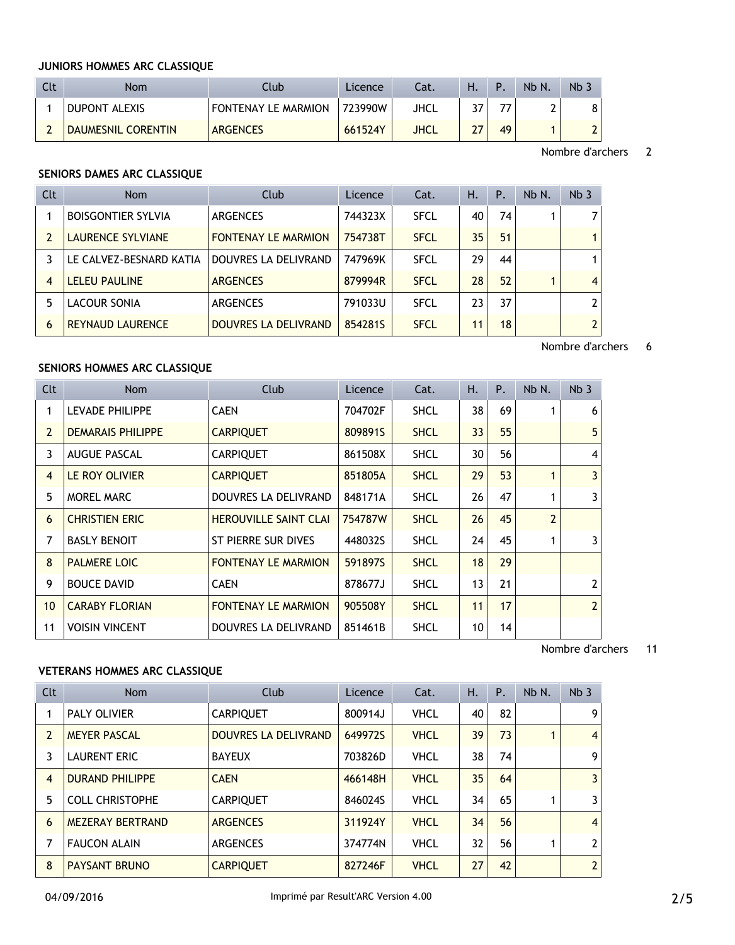## **JUNIORS HOMMES ARC CLASSIQUE**

| Clt | <b>Nom</b>         | Ilub                | Licence | ۵t.  | Ή. | Þ  | Nb N. | Nb 7 |
|-----|--------------------|---------------------|---------|------|----|----|-------|------|
|     | DUPONT ALEXIS      | FONTENAY LE MARMION | 723990W | JHCL | דר |    |       |      |
|     | DAUMESNIL CORENTIN | <b>ARGENCES</b>     | 661524Y | JHCL | 27 | 49 |       |      |

Nombre d'archers 2

#### **SENIORS DAMES ARC CLASSIQUE**

| Clt            | <b>Nom</b>                | Club                       | Licence | Cat.        | Н. | Ρ. | Nb N. | Nb <sub>3</sub> |
|----------------|---------------------------|----------------------------|---------|-------------|----|----|-------|-----------------|
|                | <b>BOISGONTIER SYLVIA</b> | <b>ARGENCES</b>            | 744323X | <b>SFCL</b> | 40 | 74 |       | 7               |
|                | <b>LAURENCE SYLVIANE</b>  | <b>FONTENAY LE MARMION</b> | 754738T | <b>SFCL</b> | 35 | 51 |       | 1               |
|                | LE CALVEZ-BESNARD KATIA   | DOUVRES LA DELIVRAND       | 747969K | <b>SFCL</b> | 29 | 44 |       | 1               |
| $\overline{4}$ | LELEU PAULINE             | <b>ARGENCES</b>            | 879994R | <b>SFCL</b> | 28 | 52 |       | $\overline{4}$  |
| 5              | LACOUR SONIA              | <b>ARGENCES</b>            | 791033U | <b>SFCL</b> | 23 | 37 |       | $\overline{2}$  |
| 6              | <b>REYNAUD LAURENCE</b>   | DOUVRES LA DELIVRAND       | 8542815 | <b>SFCL</b> | 11 | 18 |       | $\overline{2}$  |

Nombre d'archers 6

# **SENIORS HOMMES ARC CLASSIQUE**

| Clt             | <b>Nom</b>               | Club                         | Licence | Cat.        | Η. | P. | Nb N.          | Nb <sub>3</sub> |
|-----------------|--------------------------|------------------------------|---------|-------------|----|----|----------------|-----------------|
| 1               | LEVADE PHILIPPE          | <b>CAEN</b>                  | 704702F | <b>SHCL</b> | 38 | 69 |                | 6               |
| $\overline{2}$  | <b>DEMARAIS PHILIPPE</b> | <b>CARPIQUET</b>             | 809891S | <b>SHCL</b> | 33 | 55 |                | 5               |
| 3               | <b>AUGUE PASCAL</b>      | <b>CARPIQUET</b>             | 861508X | <b>SHCL</b> | 30 | 56 |                | $\overline{4}$  |
| $\overline{4}$  | LE ROY OLIVIER           | <b>CARPIQUET</b>             | 851805A | <b>SHCL</b> | 29 | 53 |                | 3               |
| 5               | MOREL MARC               | DOUVRES LA DELIVRAND         | 848171A | <b>SHCL</b> | 26 | 47 |                | 3               |
| 6               | <b>CHRISTIEN ERIC</b>    | <b>HEROUVILLE SAINT CLAI</b> | 754787W | <b>SHCL</b> | 26 | 45 | $\overline{2}$ |                 |
| 7               | <b>BASLY BENOIT</b>      | ST PIERRE SUR DIVES          | 448032S | <b>SHCL</b> | 24 | 45 | 1              | 3               |
| 8               | <b>PALMERE LOIC</b>      | <b>FONTENAY LE MARMION</b>   | 591897S | <b>SHCL</b> | 18 | 29 |                |                 |
| 9               | <b>BOUCE DAVID</b>       | <b>CAEN</b>                  | 878677J | <b>SHCL</b> | 13 | 21 |                | $\overline{2}$  |
| 10 <sup>1</sup> | <b>CARABY FLORIAN</b>    | <b>FONTENAY LE MARMION</b>   | 905508Y | <b>SHCL</b> | 11 | 17 |                | $\overline{2}$  |
| 11              | <b>VOISIN VINCENT</b>    | DOUVRES LA DELIVRAND         | 851461B | <b>SHCL</b> | 10 | 14 |                |                 |

Nombre d'archers 11

#### **VETERANS HOMMES ARC CLASSIQUE**

| Clt            | <b>Nom</b>              | Club                        | Licence | Cat.        | Η. | P. | Nb N. | Nb <sub>3</sub> |
|----------------|-------------------------|-----------------------------|---------|-------------|----|----|-------|-----------------|
|                | <b>PALY OLIVIER</b>     | <b>CARPIQUET</b>            | 800914J | <b>VHCL</b> | 40 | 82 |       | 9               |
| $\overline{2}$ | <b>MEYER PASCAL</b>     | <b>DOUVRES LA DELIVRAND</b> | 649972S | <b>VHCL</b> | 39 | 73 |       | $\vert$         |
| 3              | <b>LAURENT ERIC</b>     | <b>BAYEUX</b>               | 703826D | <b>VHCL</b> | 38 | 74 |       | 9 <sub>1</sub>  |
| $\overline{4}$ | <b>DURAND PHILIPPE</b>  | <b>CAEN</b>                 | 466148H | <b>VHCL</b> | 35 | 64 |       | $\overline{3}$  |
| 5              | <b>COLL CHRISTOPHE</b>  | <b>CARPIQUET</b>            | 846024S | <b>VHCL</b> | 34 | 65 |       | $\overline{3}$  |
| 6              | <b>MEZERAY BERTRAND</b> | <b>ARGENCES</b>             | 311924Y | <b>VHCL</b> | 34 | 56 |       | $\vert$         |
| 7              | <b>FAUCON ALAIN</b>     | <b>ARGENCES</b>             | 374774N | <b>VHCL</b> | 32 | 56 |       | 2 <sup>1</sup>  |
| 8              | <b>PAYSANT BRUNO</b>    | <b>CARPIQUET</b>            | 827246F | <b>VHCL</b> | 27 | 42 |       | 2 <sup>1</sup>  |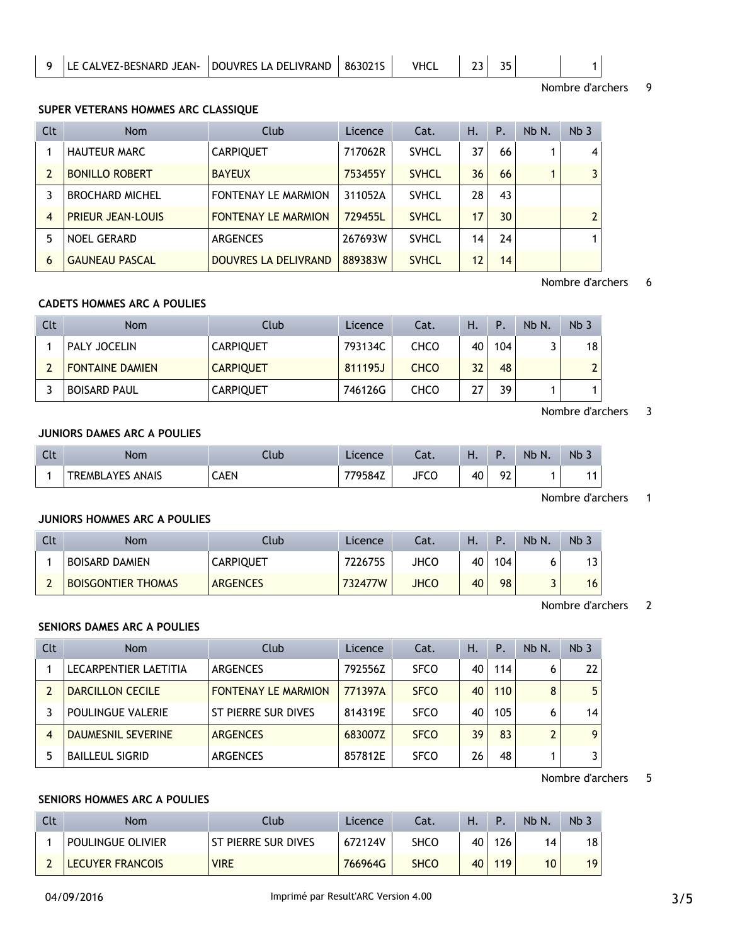|  | LE CALVEZ-BESNARD JEAN-   DOUVRES LA DELIVRAND   863021S |  |  | <b>VHCL</b> |  |  |  |  |  |
|--|----------------------------------------------------------|--|--|-------------|--|--|--|--|--|
|--|----------------------------------------------------------|--|--|-------------|--|--|--|--|--|

Nombre d'archers 9

#### **SUPER VETERANS HOMMES ARC CLASSIQUE**

| Clt            | <b>Nom</b>               | Club                       | Licence | Cat.         | Η. | Ρ. | Nb N. | Nb <sub>3</sub> |
|----------------|--------------------------|----------------------------|---------|--------------|----|----|-------|-----------------|
|                | <b>HAUTEUR MARC</b>      | <b>CARPIQUET</b>           | 717062R | <b>SVHCL</b> | 37 | 66 |       | 4               |
|                | <b>BONILLO ROBERT</b>    | <b>BAYEUX</b>              | 753455Y | <b>SVHCL</b> | 36 | 66 |       | 3               |
|                | <b>BROCHARD MICHEL</b>   | <b>FONTENAY LE MARMION</b> | 311052A | <b>SVHCL</b> | 28 | 43 |       |                 |
| $\overline{4}$ | <b>PRIEUR JEAN-LOUIS</b> | <b>FONTENAY LE MARMION</b> | 729455L | <b>SVHCL</b> | 17 | 30 |       | $\overline{2}$  |
| 5              | <b>NOEL GERARD</b>       | <b>ARGENCES</b>            | 267693W | <b>SVHCL</b> | 14 | 24 |       | 1               |
| 6              | <b>GAUNEAU PASCAL</b>    | DOUVRES LA DELIVRAND       | 889383W | <b>SVHCL</b> | 12 | 14 |       |                 |

Nombre d'archers 6

# **CADETS HOMMES ARC A POULIES**

| Clt | Nom                    | Club             | Licence | Cat.        | Н. | Ρ.  | Nb N. | Nb <sub>3</sub> |
|-----|------------------------|------------------|---------|-------------|----|-----|-------|-----------------|
|     | PALY JOCELIN           | <b>CARPIQUET</b> | 793134C | CHCO        | 40 | 104 |       | 18              |
|     | <b>FONTAINE DAMIEN</b> | <b>CARPIQUET</b> | 811195J | <b>CHCO</b> | 32 | 48  |       | $\overline{2}$  |
|     | <b>BOISARD PAUL</b>    | <b>CARPIQUET</b> | 746126G | <b>CHCO</b> | 27 | 39  |       |                 |

## Nombre d'archers 3

# **JUNIORS DAMES ARC A POULIES**

| Clt | Nom                  | Ilub        | Licence | .<br>-aι.   | п. |                       | Nb<br>N. | N <sub>b</sub> |
|-----|----------------------|-------------|---------|-------------|----|-----------------------|----------|----------------|
|     | ANAIS<br>TREMBLAYES, | <b>CAEN</b> | 79584Z  | <b>JFCC</b> | 40 | Q <sub>2</sub><br>1 L |          | . .            |

Nombre d'archers 1

# **JUNIORS HOMMES ARC A POULIES**

| Clt | <b>Nom</b>                | Club             | Licence | Cat. | Н. |     | Nb N. | Nb <sub>2</sub> |
|-----|---------------------------|------------------|---------|------|----|-----|-------|-----------------|
|     | BOISARD DAMIEN            | <b>CARPIQUET</b> | 722675S | JHCO | 40 | 104 |       | 13 <sub>1</sub> |
|     | <b>BOISGONTIER THOMAS</b> | <b>ARGENCES</b>  | 732477W | JHCO | 40 | 98  |       | 16              |

Nombre d'archers 2

#### **SENIORS DAMES ARC A POULIES**

| Clt | <b>Nom</b>                | Club                       | Licence | Cat.        | Η. | Ρ.  | Nb N.          | Nb <sub>3</sub> |
|-----|---------------------------|----------------------------|---------|-------------|----|-----|----------------|-----------------|
|     | LECARPENTIER LAETITIA     | <b>ARGENCES</b>            | 792556Z | <b>SFCO</b> | 40 | 114 | 6              | 22              |
| 2   | <b>DARCILLON CECILE</b>   | <b>FONTENAY LE MARMION</b> | 771397A | <b>SFCO</b> | 40 | 110 | 8              | 5               |
|     | POULINGUE VALERIE         | ST PIERRE SUR DIVES        | 814319E | <b>SFCO</b> | 40 | 105 | 6              | 14              |
| 4   | <b>DAUMESNIL SEVERINE</b> | <b>ARGENCES</b>            | 683007Z | <b>SFCO</b> | 39 | 83  | $\overline{2}$ | 9               |
| 5   | <b>BAILLEUL SIGRID</b>    | <b>ARGENCES</b>            | 857812E | <b>SFCO</b> | 26 | 48  |                | 3               |

Nombre d'archers 5

# **SENIORS HOMMES ARC A POULIES**

| Clt | Nom                     | Ilub                | Licence | ۵t.         | н. | Þ   | Nb N. | Nb <sub>3</sub> |
|-----|-------------------------|---------------------|---------|-------------|----|-----|-------|-----------------|
|     | POULINGUE OLIVIER       | ST PIERRE SUR DIVES | 672124V | <b>SHCO</b> | 40 | 126 | 14    | 18              |
|     | <b>LECUYER FRANCOIS</b> | <b>VIRE</b>         | 766964G | <b>SHCO</b> | 40 | 119 | 10    | 19              |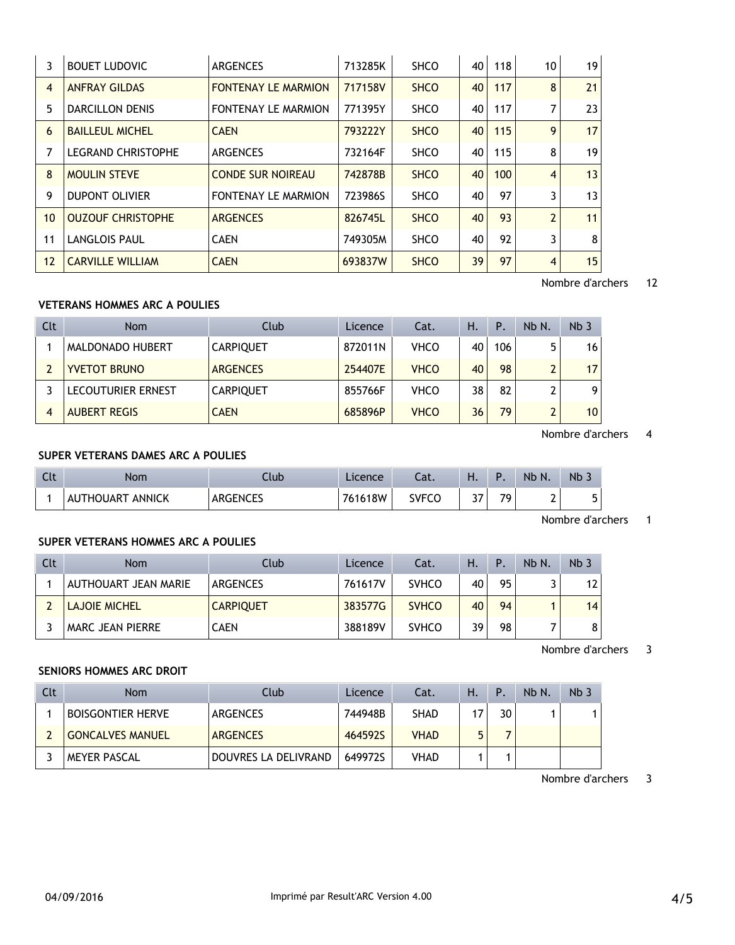| 3              | <b>BOUET LUDOVIC</b>      | <b>ARGENCES</b>            | 713285K | <b>SHCO</b> | 40 | 118 | 10             | 19 |
|----------------|---------------------------|----------------------------|---------|-------------|----|-----|----------------|----|
| $\overline{4}$ | <b>ANFRAY GILDAS</b>      | <b>FONTENAY LE MARMION</b> | 717158V | <b>SHCO</b> | 40 | 117 | 8              | 21 |
| 5              | <b>DARCILLON DENIS</b>    | <b>FONTENAY LE MARMION</b> | 771395Y | <b>SHCO</b> | 40 | 117 | 7              | 23 |
| 6              | <b>BAILLEUL MICHEL</b>    | <b>CAEN</b>                | 793222Y | <b>SHCO</b> | 40 | 115 | 9              | 17 |
| $\overline{7}$ | <b>LEGRAND CHRISTOPHE</b> | <b>ARGENCES</b>            | 732164F | <b>SHCO</b> | 40 | 115 | 8              | 19 |
| 8              | <b>MOULIN STEVE</b>       | <b>CONDE SUR NOIREAU</b>   | 742878B | <b>SHCO</b> | 40 | 100 | 4              | 13 |
| 9              | <b>DUPONT OLIVIER</b>     | <b>FONTENAY LE MARMION</b> | 723986S | <b>SHCO</b> | 40 | 97  | 3              | 13 |
| 10             | <b>OUZOUF CHRISTOPHE</b>  | <b>ARGENCES</b>            | 826745L | <b>SHCO</b> | 40 | 93  | $\overline{2}$ | 11 |
| 11             | <b>LANGLOIS PAUL</b>      | <b>CAEN</b>                | 749305M | <b>SHCO</b> | 40 | 92  | 3              | 8  |
| 12             | <b>CARVILLE WILLIAM</b>   | <b>CAEN</b>                | 693837W | <b>SHCO</b> | 39 | 97  | 4              | 15 |

## Nombre d'archers 12

# **VETERANS HOMMES ARC A POULIES**

÷.

| Clt | Nom                 | Club             | Licence | Cat.        | Н. | <b>P.</b> | Nb N. | Nb <sub>3</sub> |
|-----|---------------------|------------------|---------|-------------|----|-----------|-------|-----------------|
|     | MALDONADO HUBERT    | <b>CARPIQUET</b> | 872011N | VHCO        | 40 | 106       | 5     | 16 <sup>1</sup> |
|     | <b>YVETOT BRUNO</b> | <b>ARGENCES</b>  | 254407E | <b>VHCO</b> | 40 | 98        | ີ     | 17              |
|     | LECOUTURIER ERNEST  | <b>CARPIQUET</b> | 855766F | <b>VHCO</b> | 38 | 82        |       | 9               |
| 4   | <b>AUBERT REGIS</b> | <b>CAEN</b>      | 685896P | <b>VHCO</b> | 36 | 79        | ີ     | 10 <sup>1</sup> |

Nombre d'archers 4

# **SUPER VETERANS DAMES ARC A POULIES**

| Clt | Nom                     | Ilub            | Licence | Cat.         | . .              |    | Nb N. | <b>Nb</b> |
|-----|-------------------------|-----------------|---------|--------------|------------------|----|-------|-----------|
|     | <b>AUTHOUART ANNICK</b> | <b>ARGENCES</b> | 761618W | <b>SVFCO</b> | <u>ົາສ</u><br>JI | 70 |       | ᄃ<br>J    |

Nombre d'archers 1

## **SUPER VETERANS HOMMES ARC A POULIES**

| Clt | <b>Nom</b>              | Club             | Licence | Cat.         | н. | Ρ. | Nb N. | Nb <sub>3</sub> |
|-----|-------------------------|------------------|---------|--------------|----|----|-------|-----------------|
|     | AUTHOUART JEAN MARIE    | ARGENCES         | 761617V | <b>SVHCO</b> | 40 | 95 |       | 12 <sup>1</sup> |
|     | <b>LAJOIE MICHEL</b>    | <b>CARPIQUET</b> | 383577G | <b>SVHCO</b> | 40 | 94 |       | 14              |
|     | <b>MARC JEAN PIERRE</b> | CAEN             | 388189V | <b>SVHCO</b> | 39 | 98 |       | 8               |

Nombre d'archers 3

## **SENIORS HOMMES ARC DROIT**

| Clt | <b>Nom</b>               | Club                 | Licence | Cat.        | Η. | Ρ. | $Nb$ $N$ | Nb <sub>3</sub> |
|-----|--------------------------|----------------------|---------|-------------|----|----|----------|-----------------|
|     | <b>BOISGONTIER HERVE</b> | ARGENCES             | 744948B | <b>SHAD</b> |    | 30 |          |                 |
|     | <b>GONCALVES MANUEL</b>  | <b>ARGENCES</b>      | 464592S | <b>VHAD</b> |    |    |          |                 |
|     | MEYER PASCAL             | DOUVRES LA DELIVRAND | 649972S | VHAD        |    |    |          |                 |

Nombre d'archers 3